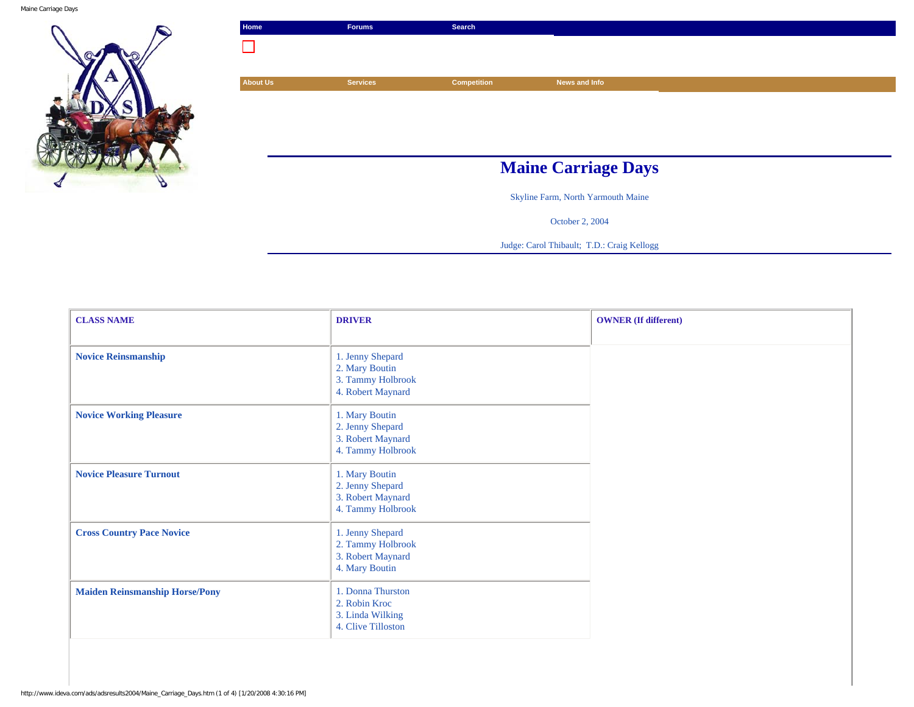

| Home            | <b>Forums</b>   | Search             |                                    |  |
|-----------------|-----------------|--------------------|------------------------------------|--|
|                 |                 |                    |                                    |  |
|                 |                 |                    |                                    |  |
| <b>About Us</b> | <b>Services</b> | <b>Competition</b> | News and Info                      |  |
|                 |                 |                    |                                    |  |
|                 |                 |                    |                                    |  |
|                 |                 |                    |                                    |  |
|                 |                 |                    |                                    |  |
|                 |                 |                    |                                    |  |
|                 |                 |                    | <b>Maine Carriage Days</b>         |  |
|                 |                 |                    | Skyline Farm, North Yarmouth Maine |  |

October 2, 2004

Judge: Carol Thibault; T.D.: Craig Kellogg

| <b>CLASS NAME</b>                     | <b>DRIVER</b>                                                                | <b>OWNER</b> (If different) |
|---------------------------------------|------------------------------------------------------------------------------|-----------------------------|
| <b>Novice Reinsmanship</b>            | 1. Jenny Shepard<br>2. Mary Boutin<br>3. Tammy Holbrook<br>4. Robert Maynard |                             |
| <b>Novice Working Pleasure</b>        | 1. Mary Boutin<br>2. Jenny Shepard<br>3. Robert Maynard<br>4. Tammy Holbrook |                             |
| <b>Novice Pleasure Turnout</b>        | 1. Mary Boutin<br>2. Jenny Shepard<br>3. Robert Maynard<br>4. Tammy Holbrook |                             |
| <b>Cross Country Pace Novice</b>      | 1. Jenny Shepard<br>2. Tammy Holbrook<br>3. Robert Maynard<br>4. Mary Boutin |                             |
| <b>Maiden Reinsmanship Horse/Pony</b> | 1. Donna Thurston<br>2. Robin Kroc<br>3. Linda Wilking<br>4. Clive Tilloston |                             |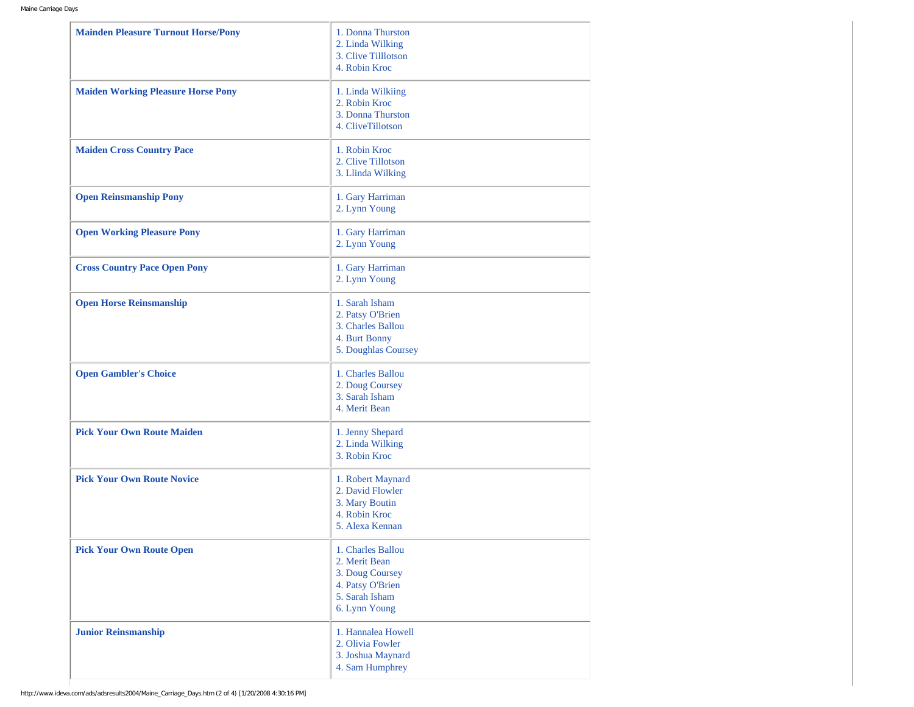| <b>Mainden Pleasure Turnout Horse/Pony</b> | 1. Donna Thurston<br>2. Linda Wilking<br>3. Clive Tilllotson<br>4. Robin Kroc                                |
|--------------------------------------------|--------------------------------------------------------------------------------------------------------------|
| <b>Maiden Working Pleasure Horse Pony</b>  | 1. Linda Wilkiing<br>2. Robin Kroc<br>3. Donna Thurston<br>4. CliveTillotson                                 |
| <b>Maiden Cross Country Pace</b>           | 1. Robin Kroc<br>2. Clive Tillotson<br>3. Llinda Wilking                                                     |
| <b>Open Reinsmanship Pony</b>              | 1. Gary Harriman<br>2. Lynn Young                                                                            |
| <b>Open Working Pleasure Pony</b>          | 1. Gary Harriman<br>2. Lynn Young                                                                            |
| <b>Cross Country Pace Open Pony</b>        | 1. Gary Harriman<br>2. Lynn Young                                                                            |
| <b>Open Horse Reinsmanship</b>             | 1. Sarah Isham<br>2. Patsy O'Brien<br>3. Charles Ballou<br>4. Burt Bonny<br>5. Doughlas Coursey              |
| <b>Open Gambler's Choice</b>               | 1. Charles Ballou<br>2. Doug Coursey<br>3. Sarah Isham<br>4. Merit Bean                                      |
| <b>Pick Your Own Route Maiden</b>          | 1. Jenny Shepard<br>2. Linda Wilking<br>3. Robin Kroc                                                        |
| <b>Pick Your Own Route Novice</b>          | 1. Robert Maynard<br>2. David Flowler<br>3. Mary Boutin<br>4. Robin Kroc<br>5. Alexa Kennan                  |
| <b>Pick Your Own Route Open</b>            | 1. Charles Ballou<br>2. Merit Bean<br>3. Doug Coursey<br>4. Patsy O'Brien<br>5. Sarah Isham<br>6. Lynn Young |
| <b>Junior Reinsmanship</b>                 | 1. Hannalea Howell<br>2. Olivia Fowler<br>3. Joshua Maynard<br>4. Sam Humphrey                               |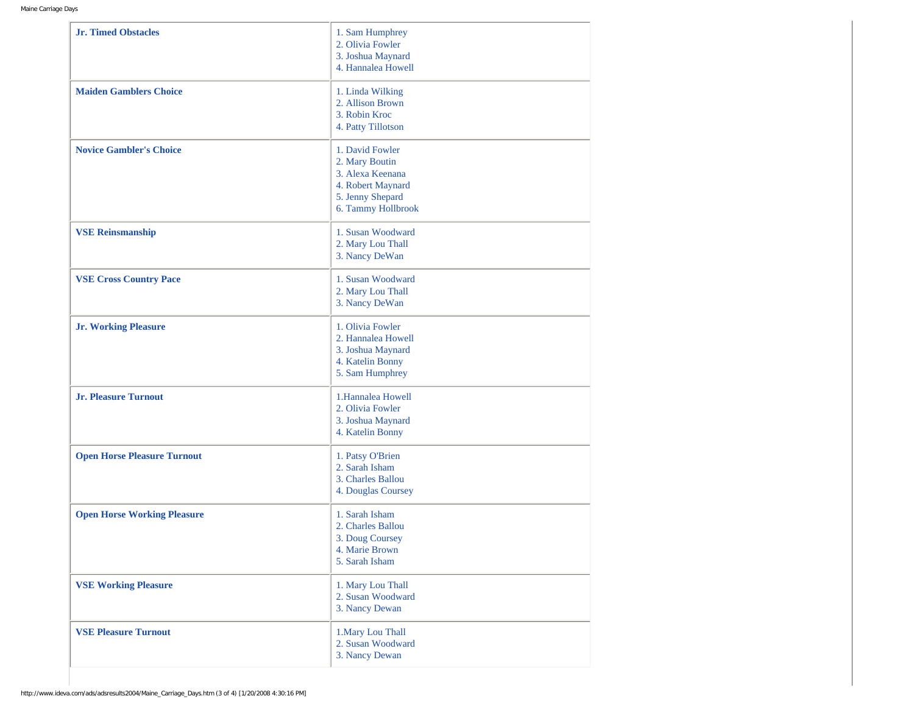| <b>Jr. Timed Obstacles</b>         | 1. Sam Humphrey<br>2. Olivia Fowler<br>3. Joshua Maynard<br>4. Hannalea Howell                                       |
|------------------------------------|----------------------------------------------------------------------------------------------------------------------|
| <b>Maiden Gamblers Choice</b>      | 1. Linda Wilking<br>2. Allison Brown<br>3. Robin Kroc<br>4. Patty Tillotson                                          |
| <b>Novice Gambler's Choice</b>     | 1. David Fowler<br>2. Mary Boutin<br>3. Alexa Keenana<br>4. Robert Maynard<br>5. Jenny Shepard<br>6. Tammy Hollbrook |
| <b>VSE Reinsmanship</b>            | 1. Susan Woodward<br>2. Mary Lou Thall<br>3. Nancy DeWan                                                             |
| <b>VSE Cross Country Pace</b>      | 1. Susan Woodward<br>2. Mary Lou Thall<br>3. Nancy DeWan                                                             |
| <b>Jr. Working Pleasure</b>        | 1. Olivia Fowler<br>2. Hannalea Howell<br>3. Joshua Maynard<br>4. Katelin Bonny<br>5. Sam Humphrey                   |
| <b>Jr. Pleasure Turnout</b>        | 1.Hannalea Howell<br>2. Olivia Fowler<br>3. Joshua Maynard<br>4. Katelin Bonny                                       |
| <b>Open Horse Pleasure Turnout</b> | 1. Patsy O'Brien<br>2. Sarah Isham<br>3. Charles Ballou<br>4. Douglas Coursey                                        |
| <b>Open Horse Working Pleasure</b> | 1. Sarah Isham<br>2. Charles Ballou<br>3. Doug Coursey<br>4. Marie Brown<br>5. Sarah Isham                           |
| <b>VSE Working Pleasure</b>        | 1. Mary Lou Thall<br>2. Susan Woodward<br>3. Nancy Dewan                                                             |
| <b>VSE Pleasure Turnout</b>        | 1. Mary Lou Thall<br>2. Susan Woodward<br>3. Nancy Dewan                                                             |